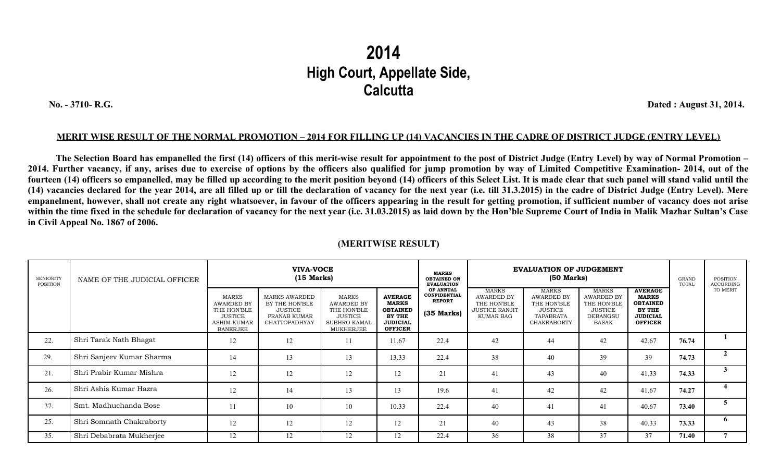## **2014 High Court, Appellate Side, Calcutta**

 **No. - 3710- R.G. Dated : August 31, 2014.**

## **MERIT WISE RESULT OF THE NORMAL PROMOTION – 2014 FOR FILLING UP (14) VACANCIES IN THE CADRE OF DISTRICT JUDGE (ENTRY LEVEL)**

**The Selection Board has empanelled the first (14) officers of this merit-wise result for appointment to the post of District Judge (Entry Level) by way of Normal Promotion – 2014. Further vacancy, if any, arises due to exercise of options by the officers also qualified for jump promotion by way of Limited Competitive Examination- 2014, out of the fourteen (14) officers so empanelled, may be filled up according to the merit position beyond (14) officers of this Select List. It is made clear that such panel will stand valid until the (14) vacancies declared for the year 2014, are all filled up or till the declaration of vacancy for the next year (i.e. till 31.3.2015) in the cadre of District Judge (Entry Level). Mere empanelment, however, shall not create any right whatsoever, in favour of the officers appearing in the result for getting promotion, if sufficient number of vacancy does not arise within the time fixed in the schedule for declaration of vacancy for the next year (i.e. 31.03.2015) as laid down by the Hon'ble Supreme Court of India in Malik Mazhar Sultan's Case in Civil Appeal No. 1867 of 2006.** 

| <b>SENIORITY</b><br>POSITION | NAME OF THE JUDICIAL OFFICER | <b>VIVA-VOCE</b><br>$(15$ Marks)                                                                     |                                                                                           |                                                                                                 |                                                                                                  | <b>MARKS</b><br><b>OBTAINED ON</b><br><b>EVALUATION</b>           | <b>EVALUATION OF JUDGEMENT</b><br>$(50$ Marks)                                  |                                                                                                       |                                                                                                       |                                                                                                         | GRAND<br>TOTAL | POSITION<br>ACCORDING |
|------------------------------|------------------------------|------------------------------------------------------------------------------------------------------|-------------------------------------------------------------------------------------------|-------------------------------------------------------------------------------------------------|--------------------------------------------------------------------------------------------------|-------------------------------------------------------------------|---------------------------------------------------------------------------------|-------------------------------------------------------------------------------------------------------|-------------------------------------------------------------------------------------------------------|---------------------------------------------------------------------------------------------------------|----------------|-----------------------|
|                              |                              | <b>MARKS</b><br>AWARDED BY<br>THE HON'BLE<br><b>JUSTICE</b><br><b>ASHIM KUMAR</b><br><b>BANERJEE</b> | <b>MARKS AWARDED</b><br>BY THE HON'BLE<br><b>JUSTICE</b><br>PRANAB KUMAR<br>CHATTOPADHYAY | <b>MARKS</b><br>AWARDED BY<br>THE HON'BLE<br><b>JUSTICE</b><br><b>SUBHRO KAMAL</b><br>MUKHERJEE | <b>AVERAGE</b><br><b>MARKS</b><br><b>OBTAINED</b><br>BY THE<br><b>JUDICIAL</b><br><b>OFFICER</b> | OF ANNUAL<br><b>CONFIDENTIAL</b><br><b>REPORT</b><br>$(35$ Marks) | <b>MARKS</b><br>AWARDED BY<br>THE HON'BLE<br><b>JUSTICE RANJIT</b><br>KUMAR BAG | <b>MARKS</b><br><b>AWARDED BY</b><br>THE HON'BLE<br><b>JUSTICE</b><br>TAPABRATA<br><b>CHAKRABORTY</b> | <b>MARKS</b><br><b>AWARDED BY</b><br>THE HON'BLE<br><b>JUSTICE</b><br><b>DEBANGSU</b><br><b>BASAK</b> | <b>AVERAGE</b><br><b>MARKS</b><br><b>OBTAINED</b><br><b>BY THE</b><br><b>JUDICIAL</b><br><b>OFFICER</b> |                | TO MERIT              |
| 22.                          | Shri Tarak Nath Bhagat       | 12                                                                                                   | 12                                                                                        | 11                                                                                              | 11.67                                                                                            | 22.4                                                              | 42                                                                              | 44                                                                                                    | 42                                                                                                    | 42.67                                                                                                   | 76.74          |                       |
| 29.                          | Shri Sanjeev Kumar Sharma    | 14                                                                                                   | 13                                                                                        | 13                                                                                              | 13.33                                                                                            | 22.4                                                              | 38                                                                              | 40                                                                                                    | 39                                                                                                    | 39                                                                                                      | 74.73          |                       |
| 21.                          | Shri Prabir Kumar Mishra     | 12                                                                                                   | 12                                                                                        | 12                                                                                              | 12                                                                                               | 21                                                                | 41                                                                              | 43                                                                                                    | 40                                                                                                    | 41.33                                                                                                   | 74.33          |                       |
| 26.                          | Shri Ashis Kumar Hazra       | 12                                                                                                   | 14                                                                                        | 13                                                                                              | 13                                                                                               | 19.6                                                              | 41                                                                              | 42                                                                                                    | 42                                                                                                    | 41.67                                                                                                   | 74.27          |                       |
| 37.                          | Smt. Madhuchanda Bose        | 11                                                                                                   | 10                                                                                        | 10                                                                                              | 10.33                                                                                            | 22.4                                                              | 40                                                                              | 41                                                                                                    | 41                                                                                                    | 40.67                                                                                                   | 73.40          | 5                     |
| 25.                          | Shri Somnath Chakraborty     | 12                                                                                                   | 12                                                                                        | 12                                                                                              | 12                                                                                               | 21                                                                | 40                                                                              | 43                                                                                                    | 38                                                                                                    | 40.33                                                                                                   | 73.33          | 6                     |
| 35.                          | Shri Debabrata Mukherjee     | 12                                                                                                   | 12                                                                                        | 12                                                                                              | 12                                                                                               | 22.4                                                              | 36                                                                              | 38                                                                                                    | 37                                                                                                    | 37                                                                                                      | 71.40          |                       |

## **(MERITWISE RESULT)**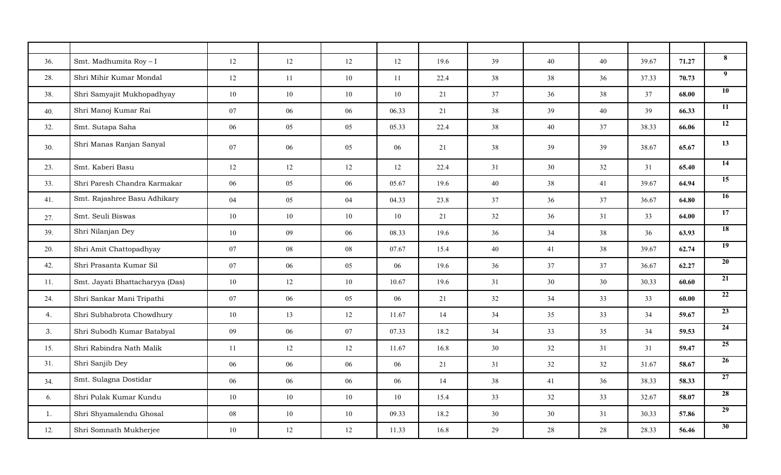| 36. | Smt. Madhumita Roy - I          | 12 | 12 | 12     | $12 \,$ | 19.6 | 39 | 40 | 40 | 39.67 | 71.27 | 8               |
|-----|---------------------------------|----|----|--------|---------|------|----|----|----|-------|-------|-----------------|
| 28. | Shri Mihir Kumar Mondal         | 12 | 11 | 10     | 11      | 22.4 | 38 | 38 | 36 | 37.33 | 70.73 | 9               |
| 38. | Shri Samyajit Mukhopadhyay      | 10 | 10 | 10     | 10      | 21   | 37 | 36 | 38 | 37    | 68.00 | 10              |
| 40. | Shri Manoj Kumar Rai            | 07 | 06 | 06     | 06.33   | 21   | 38 | 39 | 40 | 39    | 66.33 | $\overline{11}$ |
| 32. | Smt. Sutapa Saha                | 06 | 05 | 05     | 05.33   | 22.4 | 38 | 40 | 37 | 38.33 | 66.06 | $\overline{12}$ |
| 30. | Shri Manas Ranjan Sanyal        | 07 | 06 | 05     | 06      | 21   | 38 | 39 | 39 | 38.67 | 65.67 | 13              |
| 23. | Smt. Kaberi Basu                | 12 | 12 | 12     | 12      | 22.4 | 31 | 30 | 32 | 31    | 65.40 | 14              |
| 33. | Shri Paresh Chandra Karmakar    | 06 | 05 | $06\,$ | 05.67   | 19.6 | 40 | 38 | 41 | 39.67 | 64.94 | $\overline{15}$ |
| 41. | Smt. Rajashree Basu Adhikary    | 04 | 05 | 04     | 04.33   | 23.8 | 37 | 36 | 37 | 36.67 | 64.80 | 16              |
| 27. | Smt. Seuli Biswas               | 10 | 10 | $10\,$ | 10      | 21   | 32 | 36 | 31 | 33    | 64.00 | 17              |
| 39. | Shri Nilanjan Dey               | 10 | 09 | 06     | 08.33   | 19.6 | 36 | 34 | 38 | 36    | 63.93 | $\overline{18}$ |
| 20. | Shri Amit Chattopadhyay         | 07 | 08 | 08     | 07.67   | 15.4 | 40 | 41 | 38 | 39.67 | 62.74 | $\overline{19}$ |
| 42. | Shri Prasanta Kumar Sil         | 07 | 06 | 05     | 06      | 19.6 | 36 | 37 | 37 | 36.67 | 62.27 | $\overline{20}$ |
| 11. | Smt. Jayati Bhattacharyya (Das) | 10 | 12 | 10     | 10.67   | 19.6 | 31 | 30 | 30 | 30.33 | 60.60 | $\overline{21}$ |
| 24. | Shri Sankar Mani Tripathi       | 07 | 06 | 05     | 06      | 21   | 32 | 34 | 33 | 33    | 60.00 | $\overline{22}$ |
| 4.  | Shri Subhabrota Chowdhury       | 10 | 13 | 12     | 11.67   | 14   | 34 | 35 | 33 | 34    | 59.67 | 23              |
| 3.  | Shri Subodh Kumar Batabyal      | 09 | 06 | 07     | 07.33   | 18.2 | 34 | 33 | 35 | 34    | 59.53 | 24              |
| 15. | Shri Rabindra Nath Malik        | 11 | 12 | 12     | 11.67   | 16.8 | 30 | 32 | 31 | 31    | 59.47 | $\overline{25}$ |
| 31. | Shri Sanjib Dey                 | 06 | 06 | $06\,$ | 06      | 21   | 31 | 32 | 32 | 31.67 | 58.67 | 26              |
| 34. | Smt. Sulagna Dostidar           | 06 | 06 | 06     | 06      | 14   | 38 | 41 | 36 | 38.33 | 58.33 | 27              |
| 6.  | Shri Pulak Kumar Kundu          | 10 | 10 | 10     | 10      | 15.4 | 33 | 32 | 33 | 32.67 | 58.07 | 28              |
| 1.  | Shri Shyamalendu Ghosal         | 08 | 10 | 10     | 09.33   | 18.2 | 30 | 30 | 31 | 30.33 | 57.86 | 29              |
| 12. | Shri Somnath Mukherjee          | 10 | 12 | 12     | 11.33   | 16.8 | 29 | 28 | 28 | 28.33 | 56.46 | 30              |